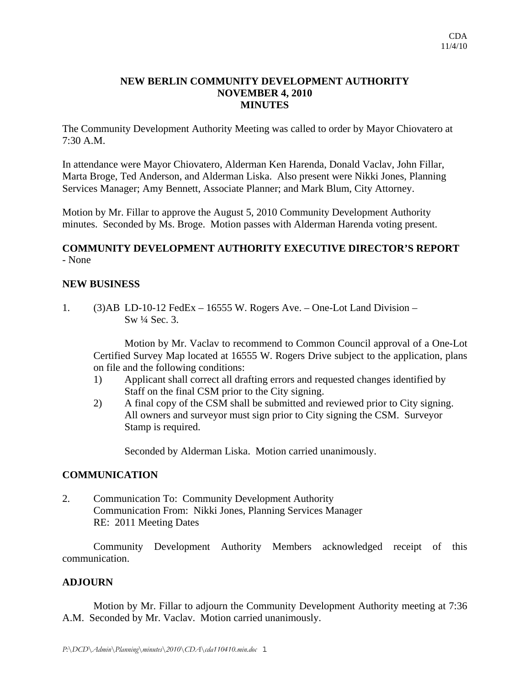## **NEW BERLIN COMMUNITY DEVELOPMENT AUTHORITY NOVEMBER 4, 2010 MINUTES**

The Community Development Authority Meeting was called to order by Mayor Chiovatero at 7:30 A.M.

In attendance were Mayor Chiovatero, Alderman Ken Harenda, Donald Vaclav, John Fillar, Marta Broge, Ted Anderson, and Alderman Liska. Also present were Nikki Jones, Planning Services Manager; Amy Bennett, Associate Planner; and Mark Blum, City Attorney.

Motion by Mr. Fillar to approve the August 5, 2010 Community Development Authority minutes. Seconded by Ms. Broge. Motion passes with Alderman Harenda voting present.

## **COMMUNITY DEVELOPMENT AUTHORITY EXECUTIVE DIRECTOR'S REPORT**  - None

### **NEW BUSINESS**

1. (3)AB LD-10-12 FedEx – 16555 W. Rogers Ave. – One-Lot Land Division – Sw ¼ Sec. 3.

 Motion by Mr. Vaclav to recommend to Common Council approval of a One-Lot Certified Survey Map located at 16555 W. Rogers Drive subject to the application, plans on file and the following conditions:

- 1) Applicant shall correct all drafting errors and requested changes identified by Staff on the final CSM prior to the City signing.
- 2) A final copy of the CSM shall be submitted and reviewed prior to City signing. All owners and surveyor must sign prior to City signing the CSM. Surveyor Stamp is required.

Seconded by Alderman Liska. Motion carried unanimously.

# **COMMUNICATION**

2. Communication To: Community Development Authority Communication From: Nikki Jones, Planning Services Manager RE: 2011 Meeting Dates

Community Development Authority Members acknowledged receipt of this communication.

#### **ADJOURN**

Motion by Mr. Fillar to adjourn the Community Development Authority meeting at 7:36 A.M. Seconded by Mr. Vaclav. Motion carried unanimously.